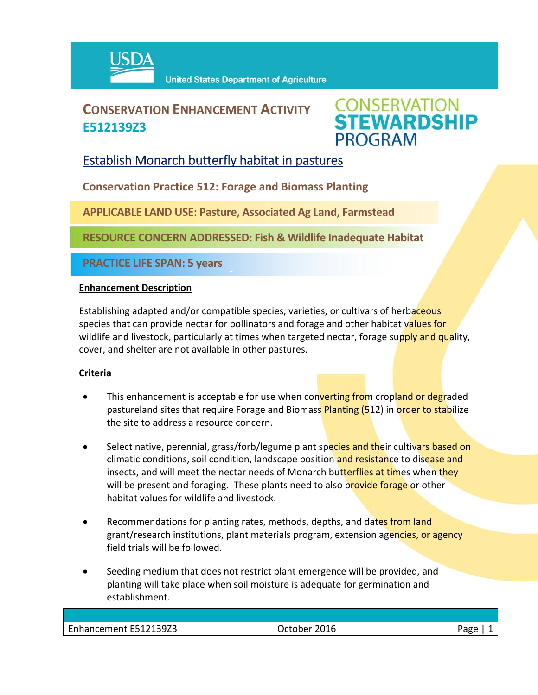

# **CONSERVATION ENHANCEMENT ACTIVITY E512139Z3**



## Establish Monarch butterfly habitat in pastures

**Conservation Practice 512: Forage and Biomass Planting**

**APPLICABLE LAND USE: Pasture, Associated Ag Land, Farmstead**

 $\hat{a}$ 

**RESOURCE CONCERN ADDRESSED: Fish & Wildlife Inadequate Habitat** 

**PRACTICE LIFE SPAN: 5 years**

#### **Enhancement Description**

Establishing adapted and/or compatible species, varieties, or cultivars of herbaceous species that can provide nectar for pollinators and forage and other habitat values for wildlife and livestock, particularly at times when targeted nectar, forage supply and quality, cover, and shelter are not available in other pastures.

### **Criteria**

- This enhancement is acceptable for use when converting from cropland or degraded pastureland sites that require Forage and Biomass Planting (512) in order to stabilize the site to address a resource concern.
- Select native, perennial, grass/forb/legume plant species and their cultivars based on climatic conditions, soil condition, landscape position and resistance to disease and insects, and will meet the nectar needs of Monarch butterflies at times when they will be present and foraging. These plants need to also provide forage or other habitat values for wildlife and livestock.
- Recommendations for planting rates, methods, depths, and dates from land grant/research institutions, plant materials program, extension agencies, or agency field trials will be followed.
- Seeding medium that does not restrict plant emergence will be provided, and planting will take place when soil moisture is adequate for germination and establishment.

| Enhancement E512139Z3 | October 2016 | ∩סבי |
|-----------------------|--------------|------|
|                       |              |      |